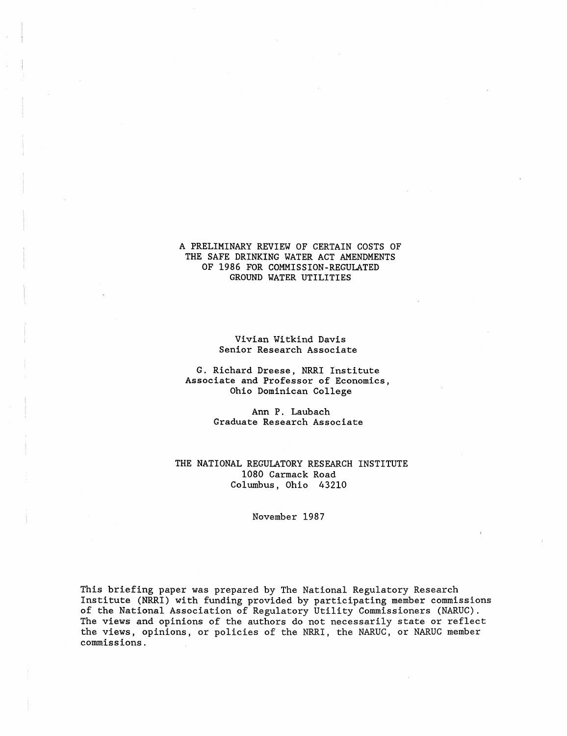### A PRELIMINARY REVIEW OF CERTAIN COSTS OF THE SAFE DRINKtNG WATER ACT AMENDMENTS OF 1986 FOR COMMISSION-REGULATED GROUND WATER UTILITIES

### Vivian Witkind Davis Senior Research Associate

### G. Richard Dreese, NRRI Institute Associate and Professor of Economics, Ohio Dominican College

Ann P. Laubach Graduate Research Associate

### THE NATIONAL REGULATORY RESEARCH INSTITUTE 1080 Carmack Road Columbus, Ohio 43210

#### November 1987

This briefing paper was prepared by The National Regulatory Research Institute (NRRI) with funding provided by participating member commissions of the National Association of Regulatory Utility Commissioners (NARUC). The views and opinions of the authors do not necessarily state or reflect the views, opinions, or policies of the NRRI, the NARUC, or NARUC member commissions.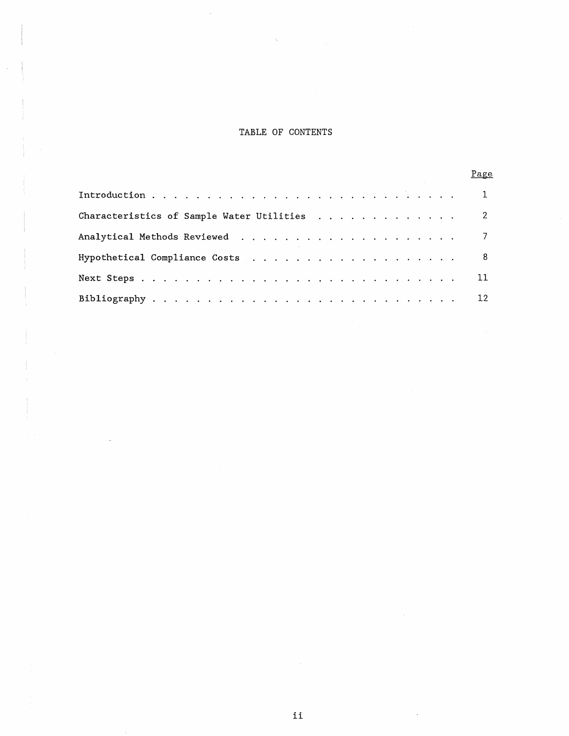# TABLE OF CONTENTS

|                                             | Page            |
|---------------------------------------------|-----------------|
|                                             |                 |
| Characteristics of Sample Water Utilities 2 |                 |
|                                             |                 |
|                                             | 8 <sup>1</sup>  |
|                                             |                 |
|                                             | 12 <sup>7</sup> |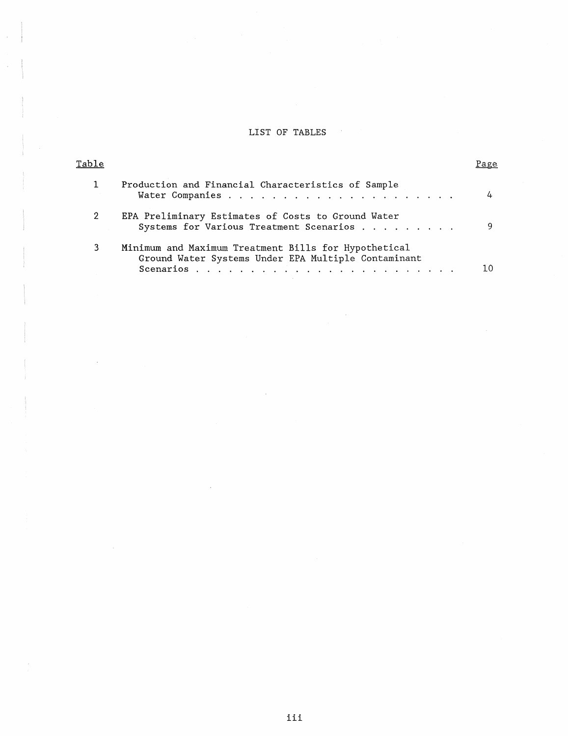# LIST OF TABLES

 $\sim$   $\sim$ 

| Table |                                                                                                             | rage |
|-------|-------------------------------------------------------------------------------------------------------------|------|
|       | Production and Financial Characteristics of Sample                                                          | 4    |
|       | EPA Preliminary Estimates of Costs to Ground Water<br>Systems for Various Treatment Scenarios               | Q    |
| 3     | Minimum and Maximum Treatment Bills for Hypothetical<br>Ground Water Systems Under EPA Multiple Contaminant |      |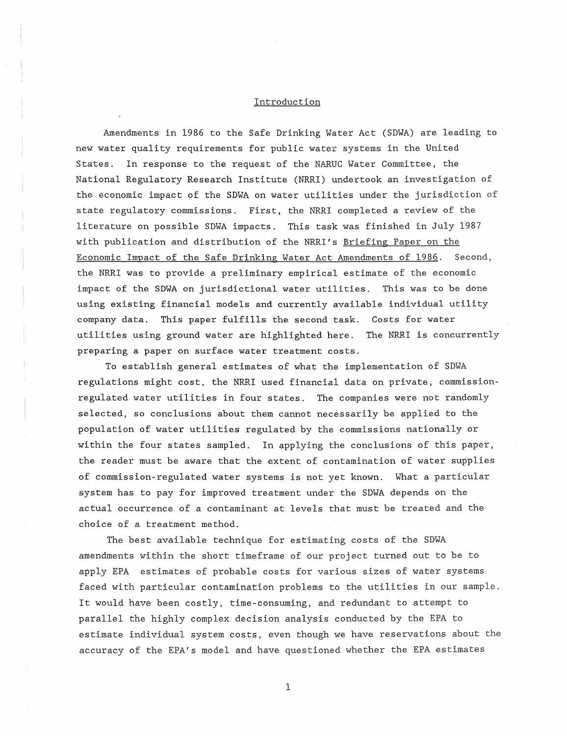### Introduction

Amendments in 1986 to the Safe Drinking Water Act (SDWA) are leading to new water quality requirements for public water systems in the United States. In response to the request of the NARUC Water Committee, the National Regulatory Research Institute (NRRI) undertook an investigation of the economic impact of the SDWA on water utilities under the jurisdiction of state regulatory commissions. First, the NRRI completed a review of the literature on possible SDWA impacts. This task was finished in July 1987 with publication and distribution of the NRRI's Briefing Paper on the Economic Impact of the Safe Drinking Water Act Amendments of 1986. Second, the NRRI was to provide a preliminary empirical estimate of the economic impact of the SDWA on jurisdictional water utilities. This was to be done using existing financial models and currently available individual utility company data. This paper fulfills the second task. Costs for water utilities using ground water are highlighted here. The NRRI is concurrently preparing a paper on surface water treatment costs.

To establish general estimates of what the implementation of SDWA regulations might cost, the NRRI used financial data on private, commissionregulated water utilities in four states. The companies were not randomly selected, so conclusions about them cannot necessarily be applied to the population of water utilities regulated by the commissions nationally or within the four states sampled. In applying the conclusions of this paper, the reader must be aware that the extent of contamination of water supplies of commission-regulated water systems is not yet known. What a particular system has to pay for improved treatment under the SDWA depends on the actual occurrence of a contaminant at levels that must be treated and the choice of a treatment method.

The best available technique for estimating costs of the SDWA amendments within the short timeframe of our project turned out to be to apply EPA estimates of probable costs for various sizes of water systems faced with particular contamination problems to the utilities in our sample. It would have been costly, time-consuming, and redundant to attempt to parallel the highly complex decision analysis conducted by the EPA to estimate individual system costs, even though we have reservations about the accuracy of the EPA's model and have questioned whether the EPA estimates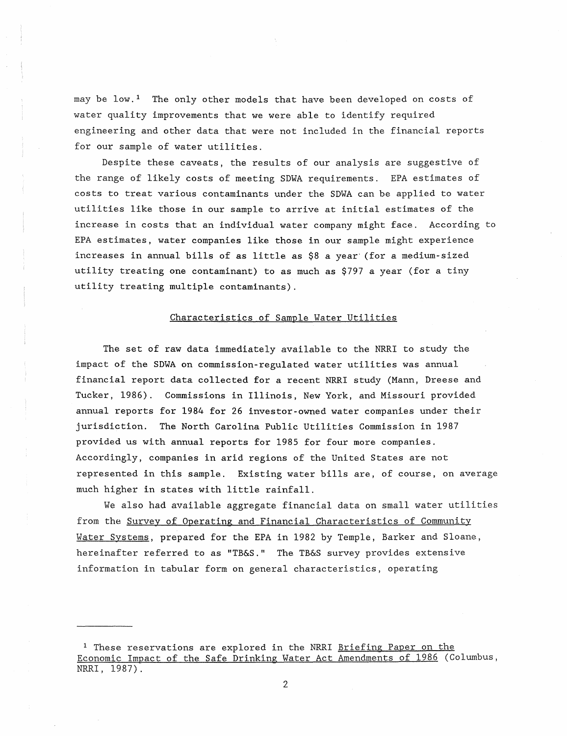may be  $1$  ow.<sup>1</sup> The only other models that have been developed on costs of water quality improvements that we were able to identify required engineering and other data that were not included in the financial reports for our sample of water utilities.

Despite these caveats, the results of our analysis are suggestive of the range of likely costs of meeting SDWA requirements. EPA estimates of costs to treat various contaminants under the SDWA can be applied to water utilities like those in our sample to arrive at initial estimates of the increase in costs that an individual water company might face. According to EPA estimates, water companies like those in our sample might experience increases in annual bills of as little as \$8 a year' (for a medium-sized utility treating one contaminant) to as much as \$797 a year (for a tiny utility treating multiple contaminants).

## Characteristics of Sample Water Utilities

The set of raw data immediately available to the NRRI to study the impact of the SDWA on commission-regulated water utilities was annual financial report data collected for a recent NRRI study (Mann, Dreese and Tucker, 1986). Commissions in Illinois, New York, and Missouri provided annual reports for 1984 for 26 investor-owned water companies under their jurisdiction. The North Carolina Public Utilities Commission in 1987 provided us with annual reports for 1985 for four more companies. Accordingly, companies in arid regions of the United States are not represented in this sample. Existing water bills are, of course, on average much higher in states with little rainfall.

We also had available aggregate financial data on small water utilities from the Survey of Operating and Financial Characteristics of Community Water Systems, prepared for the EPA in 1982 by Temple, Barker and Sloane, hereinafter referred to as "TB&S." The TB&S survey provides extensive information in tabular form on general characteristics, operating

<sup>&</sup>lt;sup>1</sup> These reservations are explored in the NRRI Briefing Paper on the Economic Impact of the Safe Drinking Water Act Amendments of 1986 (Columbus, NRRI, 1987).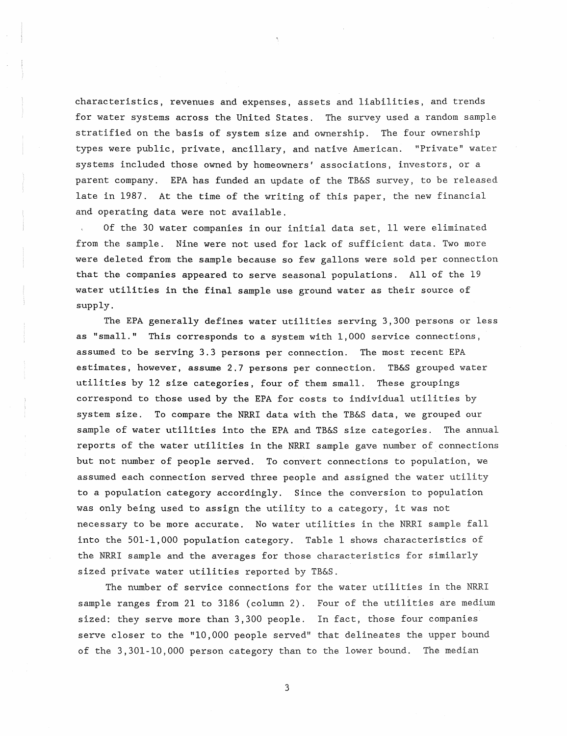characteristics, revenues and expenses, assets and liabilities, and trends for water systems across the United States. The survey used a random sample stratified on the basis of system size and ownership. The four ownership types were public, private, ancillary, and native American. "Private" water systems included those owned by homeowners' associations, investors, or a parent company. EPA has funded an update of the TB&S survey, to be released late in 1987. At the time of the writing of this paper, the new financial and operating data were not available.

Of the 30 water companies in our initial data set, 11 were eliminated from the sample. Nine were not used for lack of sufficient data. Two more were deleted from the sample because so few gallons were sold per connection that the companies appeared to serve seasonal populations. All of the 19 water utilities in the final sample use ground water as their source of supply.

The EPA generally defines water utilities serving 3,300 persons or less as "small." This corresponds to a system with 1,000 service connections, assumed to be serving 3.3 persons per connection. The most recent EPA estimates, however, assume 2.7 persons per connection. TB&S grouped water utilities by 12 size categories, four of them small. These groupings correspond to those used by the EPA for costs to individual utilities by system size. To compare the NRRI data with the TB&S data, we grouped our sample of water utilities into the EPA and TB&S size categories. The annual reports of the water utilities in the NRRI sample gave number of connections but not number of people served. To convert connections to population, we assumed each connection served three people and assigned the water utility to a population category accordingly. Since the conversion to population was only being used to assign the utility to a category, it was not necessary to be more accurate. No water utilities in the NRRI sample fall into the 501-1,000 population category. Table 1 shows characteristics of the NRRI sample and the averages for those characteristics for similarly sized private water utilities reported by TB&S.

The number of service connections for the water utilities in the NRRI sample ranges from 21 to 3186 (column 2). Four of the utilities are medium sized: they serve more than 3,300 people. In fact, those four companies serve closer to the "10,000 people served" that delineates the upper bound of the 3,301-10,000 person category than to the lower bound. The median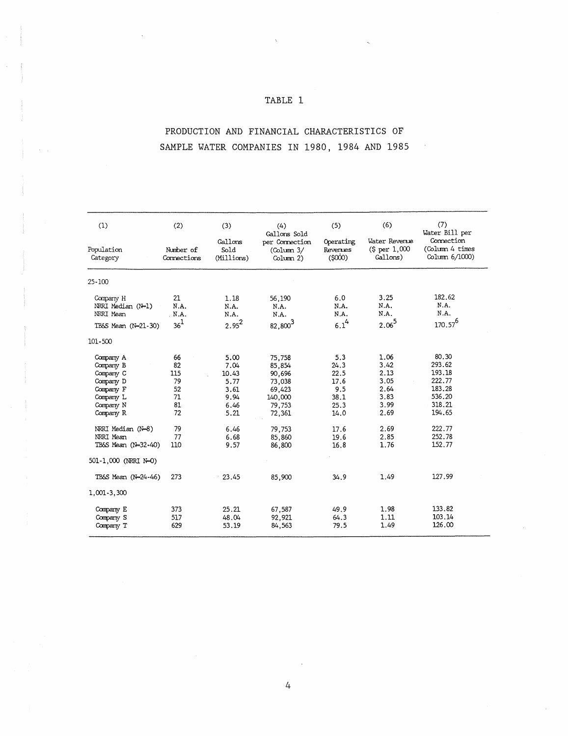# TABLE 1

# PRODUCTION AND FINANCIAL CHARACTERISTICS OF SAMPLE WATER COMPANIES IN 1980, 1984 AND 1985

 $\sim 10^6$ 

| (1)                                                                                                                                                                                   | (2)                                                              | (3)                                                                                   | (4)<br>Gallons Sold                                                                                         | (5)                                                                                | (6)                                                                                  | (7)<br>Water Bill per                                                                                     |
|---------------------------------------------------------------------------------------------------------------------------------------------------------------------------------------|------------------------------------------------------------------|---------------------------------------------------------------------------------------|-------------------------------------------------------------------------------------------------------------|------------------------------------------------------------------------------------|--------------------------------------------------------------------------------------|-----------------------------------------------------------------------------------------------------------|
| Population<br>Category                                                                                                                                                                | Number of<br>Connections                                         | Gallons<br>Sold<br>(Millions)                                                         | per Connection<br>$\text{Column } 3/$<br>Column 2)                                                          | Operating<br>Revenues<br>(5000)                                                    | Water Revenue<br>\$ per 1,000<br>Gallons)                                            | Connection<br>(Column 4 times<br>Column 6/1000)                                                           |
| $25 - 100$                                                                                                                                                                            |                                                                  |                                                                                       |                                                                                                             |                                                                                    |                                                                                      |                                                                                                           |
| Company H<br>NRRI Median (N-1)<br>NRRI Mean                                                                                                                                           | 21<br>N.A.<br>N.A.                                               | 1.18<br>N.A.<br>N.A.                                                                  | 56,190<br>N.A.<br>N.A.                                                                                      | 6,0<br>N.A.<br>N.A.                                                                | 3.25<br>N.A.<br>N.A.                                                                 | 182.62<br>N.A.<br>N.A.                                                                                    |
| TB&S Mean (N=21-30)                                                                                                                                                                   | $36^1$                                                           | $2.95^{2}$                                                                            | 82,800 <sup>3</sup>                                                                                         | $6.1^{4}$                                                                          | $2.06^{5}$                                                                           | $170.57^{6}$                                                                                              |
| 101-500                                                                                                                                                                               |                                                                  |                                                                                       |                                                                                                             |                                                                                    |                                                                                      |                                                                                                           |
| Company A<br>Company B<br>Company C<br>Company D<br>Company F<br>Company L<br>Company N<br>Company R<br>NRRI Median (N-8)<br>NRRI Mean<br>TB&S Mean (N=32-40)<br>501-1,000 (NRRI N-0) | 66<br>82<br>115<br>79<br>52<br>71<br>81<br>72<br>79<br>77<br>110 | 5.00<br>7.04<br>10.43<br>5.77<br>3.61<br>9.94<br>6.46<br>5.21<br>6.46<br>6.68<br>9.57 | 75,758<br>85,854<br>90,696<br>73.038<br>69,423<br>140,000<br>79,753<br>72,361<br>79,753<br>85,860<br>86,800 | 5.3<br>24.3<br>22.5<br>17.6<br>9.5<br>38.1<br>25.3<br>14.0<br>17.6<br>19.6<br>16.8 | 1.06<br>3.42<br>2.13<br>3.05<br>2.64<br>3.83<br>3.99<br>2.69<br>2.69<br>2.85<br>1.76 | 80,30<br>293.62<br>193.18<br>222.77<br>183.28<br>536.20<br>318.21<br>194.65<br>222.77<br>252.78<br>152.77 |
| TB&S Mean (N=24-46)                                                                                                                                                                   | 273                                                              | 23.45                                                                                 | 85,900                                                                                                      | 34.9                                                                               | 1.49                                                                                 | 127.99                                                                                                    |
| 1,001-3,300                                                                                                                                                                           |                                                                  |                                                                                       |                                                                                                             |                                                                                    |                                                                                      |                                                                                                           |
| Company E<br>Company S<br>Company T                                                                                                                                                   | 373<br>517<br>629                                                | 25.21<br>48.04<br>53.19                                                               | 67,587<br>92,921<br>84,563                                                                                  | 49.9<br>64.3<br>79.5                                                               | 1.98<br>1.11<br>1.49                                                                 | 133.82<br>103.14<br>126,00                                                                                |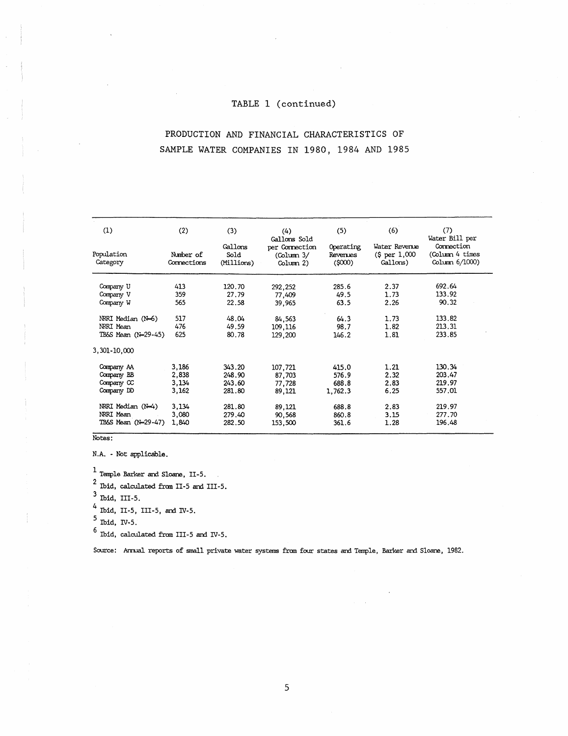## TABLE 1 (continued)

# PRODUCTION AND FINANCIAL CHARACTERISTICS OF SAMPLE WATER COMPANIES IN 1980, 1984 AND 1985

| (1)<br>Population                | (2)<br>Number of | (3)<br>Gallons<br>Sold | (4)<br>Gallons Sold<br>per Connection | (5)<br>Operating<br>Revenues | (6)<br>Water Revenue<br>\$ per 1,000 | (7)<br>Water Bill per<br>Connection<br>(Column 4 times |
|----------------------------------|------------------|------------------------|---------------------------------------|------------------------------|--------------------------------------|--------------------------------------------------------|
| Category                         | Connections      | (Millions)             | (Column 3/<br>Column 2)               | (5000)                       | Gallons)                             | Column $6/1000$ )                                      |
| Company U                        | 413              | 120.70                 | 292,252                               | 285.6                        | 2.37                                 | 692.64                                                 |
| Company V<br>Company W           | 359<br>565       | 27.79<br>22.58         | 77,409<br>39,965                      | 49.5<br>63.5                 | 1.73<br>2.26                         | 133.92<br>90.32                                        |
| NRRI Median (N=6)                | 517              | 48.04                  | 84,563                                | 64.3                         | 1.73                                 | 133.82                                                 |
| NRRI Mean<br>TB&S Mean (N=29-45) | 476<br>625       | 49.59<br>80.78         | 109,116<br>129,200                    | 98.7<br>146.2                | 1.82<br>1.81                         | 213.31<br>233.85                                       |
| 3,301-10,000                     |                  |                        |                                       |                              |                                      |                                                        |
| Company AA<br>Company BB         | 3,186<br>2,838   | 343.20<br>248.90       | 107,721<br>87,703                     | 415.0<br>576.9               | 1.21<br>2.32                         | 130.34<br>203.47                                       |
| Company CC<br>Company DD         | 3,134<br>3,162   | 243.60<br>281.80       | 77,728<br>89,121                      | 688.8<br>1,762.3             | 2.83<br>6.25                         | 219.97<br>557.01                                       |
| NRRI Median (N-4)                | 3,134            | 281.80                 | 89.121                                | 688.8                        | 2.83                                 | 219.97                                                 |
| NRRI Mean<br>TB&S Mean (N=29-47) | 3,080<br>1,840   | 279.40<br>282.50       | 90,568<br>153,500                     | 860.8<br>361.6               | 3.15<br>1.28                         | 277.70<br>196.48                                       |

Notes:

N.A. - Not applicable.

 $\frac{1}{1}$  Temple Barker and Sloane, II-5.

Temple Barker and Sloane, II-5.<br>
<sup>2</sup> Ibid, calculated from II-5 and III-5.<br>  $3 -$ 

 $3$  Ibid, III-5.

 $\overline{ }$  Ibid, II-5, III-5, and IV-5.

 $^{\circ}$  Ibid, IV-5.

 $^6$  Ibid, calculated from III-5 and IV-5.

Source: Armual reports of small private water systems from four states and Temple, Barker and Sloane, 1982.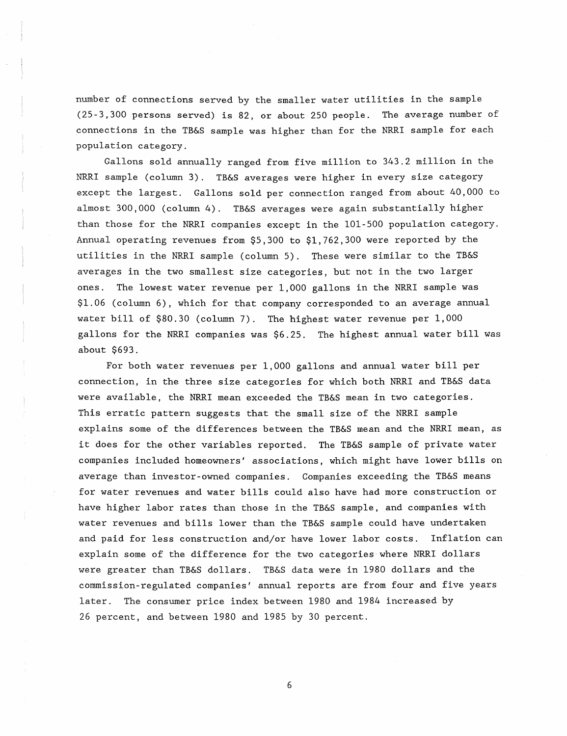number of connections served by the smaller water utilities in the sample (25-3,300 persons served) is 82, or about 250 people. The average number of connections in the TB&S sample was higher than for the NRRI sample for each population category.

Gallons sold annually ranged from five million to 343.2 million in the NRRI sample (column 3). TB&S averages were higher in every size category except the largest. Gallons sold per connection ranged from about 40,000 to almost 300,000 (column 4). TB&S averages were again substantially higher than those for the NRRI companies except in the 101-500 population category. Annual operating revenues from \$5,300 to \$1,762,300 were reported by the utilities in the NRRI sample (column 5). These were similar to the TB&S averages in the two smallest size categories, but not in the two larger ones. The lowest water revenue per 1,000 gallons in the NRRI sample was \$1.06 (column 6), which for that company corresponded to an average annual water bill of \$80.30 (column 7). The highest water revenue per 1,000 gallons for the NRRI companies was \$6.25. The highest annual water bill was about \$693.

For both water revenues per 1,000 gallons and annual water bill per connection, in the three size categories for which both NRRI and TB&S data were available, the NRRI mean exceeded the TB&S mean in two categories. This erratic pattern suggests that the small size of the NRRI sample explains some of the differences between the TB&S mean and the NRRI mean, as it does for the other variables reported. The TB&S sample of private water companies included homeowners' associations, which might have lower bills on average than investor-owned companies. Companies exceeding the TB&S means for water revenues and water bills could also have had more construction or have higher labor rates than those in the TB&S sample, and companies with water revenues and bills lower than the TB&S sample could have undertaken and paid for less construction and/or have lower labor costs. Inflation can explain some of the difference for the two categories where NRRI dollars were greater than TB&S dollars. TB&S data were in 1980 dollars and the commission-regulated companies' annual reports are from four and five years later. The consumer price index between 1980 and 1984 increased by 26 percent, and between 1980 and 1985 by 30 percent.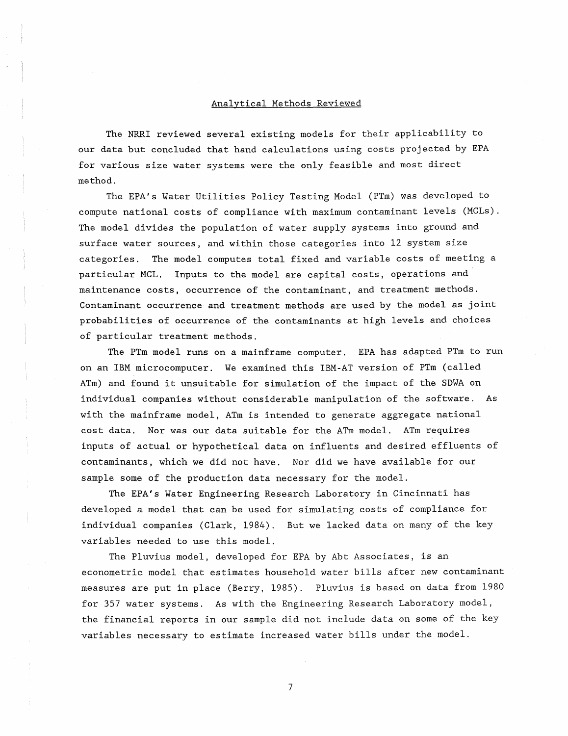#### Analytical Methods Reviewed

The NRRI reviewed several existing models for their applicability to our data but concluded that hand calculations using costs projected by EPA for various size water systems were the only feasible and most direct method.

The EPA's Water Utilities Policy Testing Model (PTm) was developed to compute national costs of compliance with maximum contaminant levels (MCLs). The model divides the population of water supply systems into ground and surface water sources, and within those categories into 12 system size categories. The model computes total fixed and variable costs of meeting a particular MCL. Inputs to the model are capital costs, operations and maintenance costs, occurrence of the contaminant, and treatment methods. Contaminant occurrence and treatment methods are used by the model as joint probabilities of occurrence of the contaminants at high levels and choices of particular treatment methods.

The PTm model runs on a mainframe computer. EPA has adapted PTm to run on an IBM microcomputer. We examined this IBM-AT version of PTm (called ATm) and found it unsuitable for simulation of the impact of the SDWA on individual companies without considerable manipulation of the software. As with the mainframe model, ATm is intended to generate aggregate national cost data. Nor was our data suitable for the ATm model. ATm requires inputs of actual or hypothetical data on influents and desired effluents of contaminants, which we did not have. Nor did we have available for our sample some of the production data necessary for the model.

The EPA's Water Engineering Research Laboratory in Cincinnati has developed a model that can be used for simulating costs of compliance for individual companies (Clark, 1984). But we lacked data on many of the key variables needed to use this model.

The Pluvius model, developed for EPA by Abt Associates, is an econometric model that estimates household water bills after new contaminant measures are put in place (Berry, 1985). Pluvius is based on data from 1980 for 357 water systems. As with the Engineering Research Laboratory model, the financial reports in our sample did not include data on some of the key variables necessary to estimate increased water bills under the model.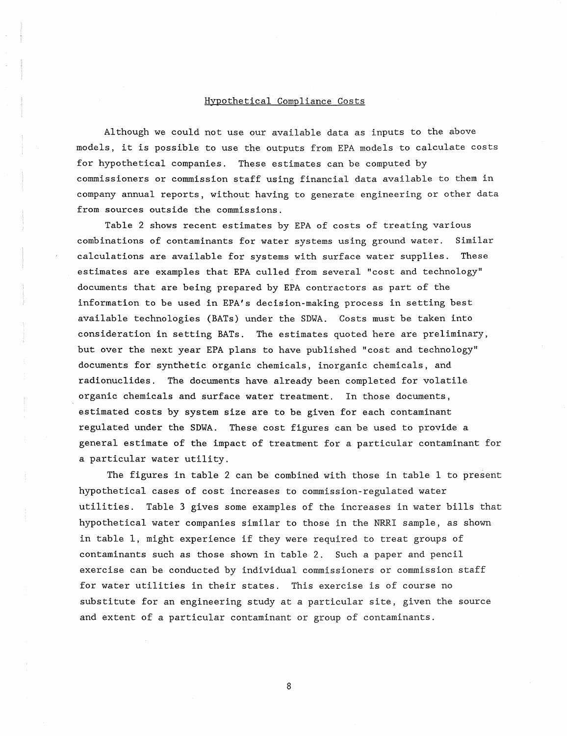#### Hypothetical Compliance Costs

Although we could not use our available data as inputs to the above models, it is possible to use the outputs from EPA models to calculate costs for hypothetical companies. These estimates can be computed by commissioners or commission staff using financial data available to them in company annual reports, without having to generate engineering or other data from sources outside the commissions.

Table 2 shows recent estimates by EPA of costs of treating various combinations of contaminants for water systems using ground water. Similar calculations are available for systems with surface water supplies. These estimates are examples that EPA culled from several "cost and technology" documents that are being prepared by EPA contractors as part of the information to be used in EPA's decision-making process in setting best available technologies (BATs) under the SDWA. Costs must be taken into consideration in setting BATs. The estimates quoted here are preliminary, but over the next year EPA plans to have published "cost and technology" documents for synthetic organic chemicals, inorganic chemicals, and radionuclides. The documents have already been completed for volatile organic chemicals and surface water treatment. In those documents, estimated costs by system size are to be given for each contaminant regulated under the SDWA. These cost figures can be used to provide a general estimate of the impact of treatment for a particular contaminant for a particular water utility.

The figures in table 2 can be combined with those in table 1 to present hypothetical cases of cost increases to commission-regulated water utilities. Table 3 gives some examples of the increases in water bills that hypothetical water companies similar to those in the NRRI sample, as shown in table 1, might experience if they were required to treat groups of contaminants such as those shown in table 2. Such a paper and pencil exercise can be conducted by individual commissioners or commission staff for water utilities in their states. This exercise is of course no substitute for an engineering study at a particular site, given the source and extent of a particular contaminant or group of contaminants.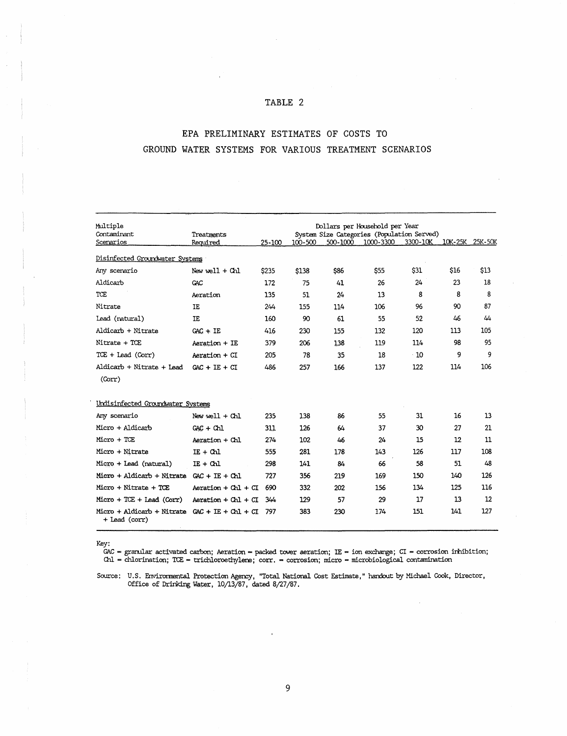## TABLE 2

# EPA PRELIMINARY ESTIMATES OF COSTS TO GROUND WATER SYSTEMS FOR VARIOUS TREATMENT SCENARIOS

| Multiple<br>Contaminant                     | Dollars per Household per Year<br>System Size Categories (Population Served)<br>Treatments |            |         |          |           |              |         |         |
|---------------------------------------------|--------------------------------------------------------------------------------------------|------------|---------|----------|-----------|--------------|---------|---------|
| Scenarios                                   | Required                                                                                   | $25 - 100$ | 100-500 | 500-1000 | 1000-3300 | 3300-10K     | 10K-25K | 25K-50K |
| Disinfected Groundwater Systems             |                                                                                            |            |         |          |           |              |         |         |
| Any scenario                                | New $well + Chl$                                                                           | \$235      | \$138   | \$86     | \$55      | \$31         | \$16    | \$13    |
| Aldicarb                                    | GAC                                                                                        | 172        | 75      | 41       | 26        | $24^{\circ}$ | 23      | 18      |
| TCE                                         | Aeration                                                                                   | 135        | 51      | 24       | 13        | 8            | 8       | 8       |
| Nitrate                                     | IE                                                                                         | 244        | 155     | 114      | 106       | 96           | 90      | 87      |
| Lead (natural)                              | IE                                                                                         | 160        | 90      | 61       | 55        | 52           | 46      | 44      |
| Aldicarb + Nitrate                          | $GAC + TE$                                                                                 | 416        | 230     | 155      | 132       | 120          | 113     | 105     |
| Nitrate + TCE                               | Aeration + IE                                                                              | 379        | 206     | 138      | 119       | 114          | 98      | 95      |
| $TCE +$ Lead (Corr)                         | Aeration + CI                                                                              | 205        | 78      | 35       | 18        | $\cdot$ 10   | 9       | 9       |
| Aldicarb + Nitrate + Lead                   | $CAC + IE + CI$                                                                            | 486        | 257     | 166      | 137       | 122          | 114     | 106     |
| (Corr)                                      |                                                                                            |            |         |          |           |              |         |         |
| Undisinfected Groundwater Systems           |                                                                                            |            |         |          |           |              |         |         |
| Any scenario                                | $New$ well + Chl                                                                           | 235        | 138     | 86       | 55        | 31           | 16      | 13      |
| Micro + Aldicarb                            | $GAC + Ch1$                                                                                | 311        | 126     | 64       | 37        | 30           | 27      | 21      |
| Micro + TCE                                 | Aeration + Chl                                                                             | 274        | 102     | 46       | 24        | 15           | $12 \,$ | 11      |
| Micro + Nitrate                             | $IE + Chl$                                                                                 | 555        | 281     | 178      | 143       | 126          | 117     | 108     |
| Micro + Lead (natural)                      | $IE + Ch1$                                                                                 | 298        | 141     | 84       | 66        | 58           | 51      | 48      |
| Micro + Aldicarb + Nitrate                  | $GAC + IE + Ch1$                                                                           | 727        | 356     | 219      | 169       | 150          | 140     | 126     |
| Micro + Nitrate + TCE                       | Aeration + $Chl + Cl$                                                                      | 690        | 332     | 202      | 156       | 134          | 125     | 116     |
| $Micro + TCE + lead (Corr)$                 | Aeration $+$ Chl $+$ CI                                                                    | 344        | 129     | 57       | 29        | 17           | 13      | 12      |
| Micro + Aldicarb + Nitrate<br>+ Lead (corr) | $GAC + TE + Ch1 + CI$                                                                      | 797        | 383     | 230      | 174       | 151          | 141     | 127     |

Key:<br> GAC = granular activated carbon; Aeration = packed tower aeration; IE = ion exchange; CI = corrosion irhibition;

Chl = chlorination; TCE = trichloroethylene; corr. = corrosion; micro = microbiological contamination

Source: U.S. Envirormental Protection Agency, "Total National Cost Estimate," handout by Michael Cook, Director, Office of Drinking Water, 10/13/87, dated 8/27/87.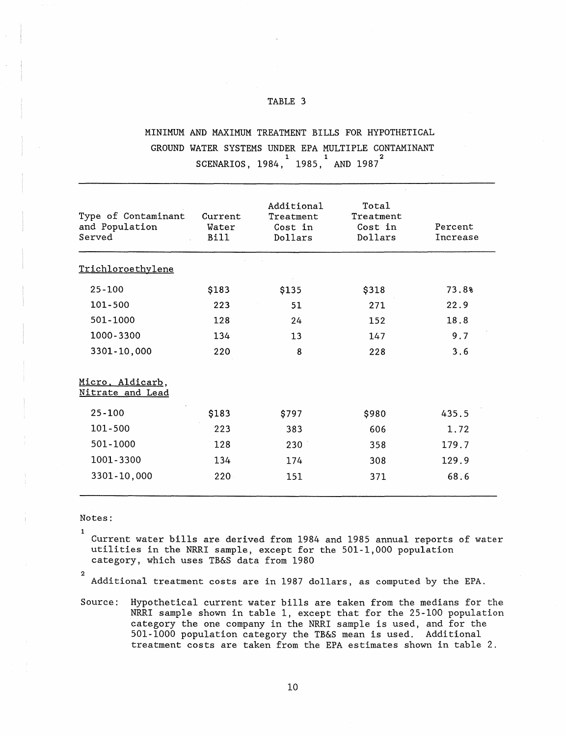### TABLE 3

# MINIMUM AND MAXIMUM TREATMENT BILLS FOR HYPOTHETICAL GROUND WATER SYSTEMS UNDER EPA MULTIPLE CONTAMINANT  $\texttt{SCENARIOS, } 1984, \begin{smallmatrix} 1 \ 1985, \end{smallmatrix}^1 \text{ AND } 1987^2$

| Type of Contaminant<br>and Population<br>Served | Current<br>Water<br>Bill | Additional<br>Treatment<br>Cost in<br>Dollars | Total<br>Treatment<br>Cost in<br>Dollars | Percent<br>Increase |
|-------------------------------------------------|--------------------------|-----------------------------------------------|------------------------------------------|---------------------|
| Trichloroethylene                               |                          |                                               |                                          |                     |
| $25 - 100$                                      | \$183                    | \$135                                         | \$318                                    | 73.8%               |
| 101-500                                         | 223                      | 51                                            | 271                                      | 22.9                |
| 501-1000                                        | 128                      | 24                                            | 152                                      | 18.8                |
| 1000-3300                                       | 134                      | 13                                            | 147                                      | 9.7                 |
| 3301-10,000                                     | 220                      | 8                                             | 228                                      | 3.6                 |
| Micro, Aldicarb,<br>Nitrate and Lead            |                          |                                               |                                          |                     |
| $25 - 100$                                      | \$183                    | \$797                                         | \$980                                    | 435.5               |
| 101-500                                         | 223                      | 383                                           | 606                                      | 1.72                |
| 501-1000                                        | 128                      | 230                                           | 358                                      | 179.7               |
| 1001-3300                                       | 134                      | 174                                           | 308                                      | 129.9               |
| 3301-10,000                                     | $220 -$                  | 151                                           | 371                                      | 68.6                |

Notes:

1 Current water bills are derived from 1984 and 1985 annual reports of water utilities in the NRRI sample, except for the 501-1,000 population category, which uses TB&S data from 1980

2

Additional treatment costs are in 1987 dollars, as computed by the EPA.

Source: Hypothetical current water bills are taken from the medians for the NRRI sample shown in table 1, except that for the 25-100 population category the one company in the NRRI sample is used, and for the 501-1000 population category the TB&S mean is used. Additional treatment costs are taken from the EPA estimates shown in table 2.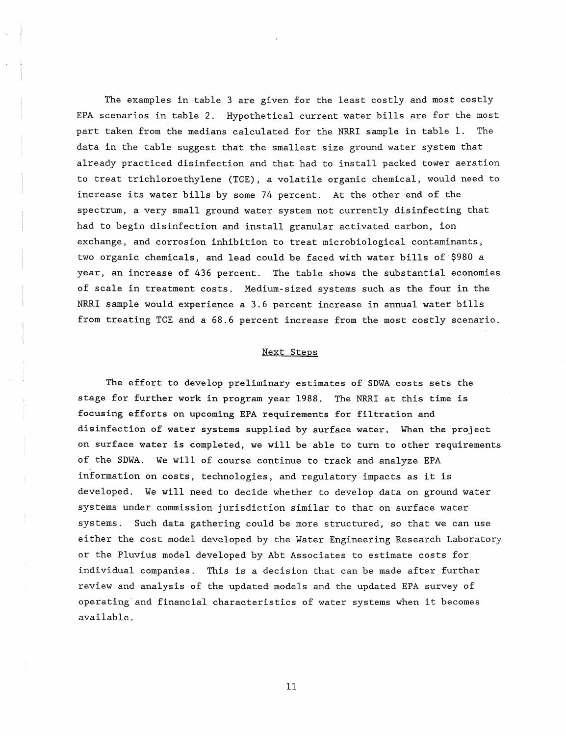The examples in table 3 are given for the least costly and most costly EPA scenarios in table 2. Hypothetical current water bills are for the most part taken from the medians calculated for the NRRI sample in table 1. The data in the table suggest that the smallest size ground water system that already practiced disinfection and that had to install packed tower aeration to treat trichloroethylene (TCE) , a volatile organic chemical, would need to increase its water bills by some 74 percent. At the other end of the spectrum, a very small ground water system not currently disinfecting that had to begin disinfection and install granular activated carbon, ion exchange, and corrosion inhibition to treat microbiological contaminants, two organic chemicals, and lead could be faced with water bills of-\$980 a year, an increase of 436 percent. The table shows the substantial economies of scale in treatment costs. Medium-sized systems such as the four in the NRRI sample would experience a 3.6 percent increase in annual water bills from treating TCE and a 68.6 percent increase from the most costly scenario.

## Next Steps

The effort to develop preliminary estimates of SDWA costs sets the stage for further work in program year 1988. The NRRI at this time is focusing efforts on upcoming EPA requirements for filtration and disinfection of water systems supplied by surface water. When the project on surface water is completed, we will be able to turn to other requirements of the SDWA. 'We will of course continue to track and analyze EPA information on costs, technologies, and regulatory impacts as it is developed. We will need to decide whether to develop data on ground water systems under commission jurisdiction similar to that on surface water systems. Such data gathering could be more structured, so that we can use either the cost model developed by the Water Engineering Research Laboratory or the Pluvius model developed by Abt Associates to estimate costs for individual companies. This is a decision that can be made after further review and analysis of the updated models and the updated EPA survey of operating and financial characteristics of water systems when it becomes available.